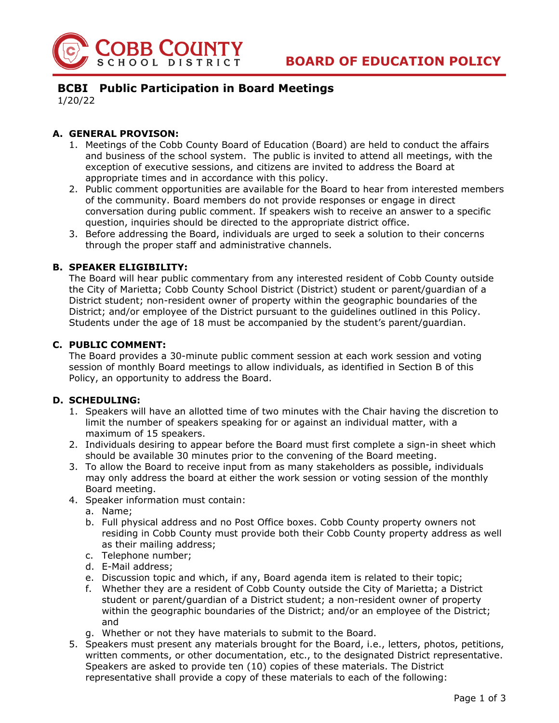

# **BCBI Public Participation in Board Meetings**

1/20/22

### **A. GENERAL PROVISON:**

- 1. Meetings of the Cobb County Board of Education (Board) are held to conduct the affairs and business of the school system. The public is invited to attend all meetings, with the exception of executive sessions, and citizens are invited to address the Board at appropriate times and in accordance with this policy.
- 2. Public comment opportunities are available for the Board to hear from interested members of the community. Board members do not provide responses or engage in direct conversation during public comment. If speakers wish to receive an answer to a specific question, inquiries should be directed to the appropriate district office.
- 3. Before addressing the Board, individuals are urged to seek a solution to their concerns through the proper staff and administrative channels.

#### **B. SPEAKER ELIGIBILITY:**

The Board will hear public commentary from any interested resident of Cobb County outside the City of Marietta; Cobb County School District (District) student or parent/guardian of a District student; non-resident owner of property within the geographic boundaries of the District; and/or employee of the District pursuant to the guidelines outlined in this Policy. Students under the age of 18 must be accompanied by the student's parent/guardian.

#### **C. PUBLIC COMMENT:**

The Board provides a 30-minute public comment session at each work session and voting session of monthly Board meetings to allow individuals, as identified in Section B of this Policy, an opportunity to address the Board.

#### **D. SCHEDULING:**

- 1. Speakers will have an allotted time of two minutes with the Chair having the discretion to limit the number of speakers speaking for or against an individual matter, with a maximum of 15 speakers.
- 2. Individuals desiring to appear before the Board must first complete a sign-in sheet which should be available 30 minutes prior to the convening of the Board meeting.
- 3. To allow the Board to receive input from as many stakeholders as possible, individuals may only address the board at either the work session or voting session of the monthly Board meeting.
- 4. Speaker information must contain:
	- a. Name;
	- b. Full physical address and no Post Office boxes. Cobb County property owners not residing in Cobb County must provide both their Cobb County property address as well as their mailing address;
	- c. Telephone number;
	- d. E-Mail address;
	- e. Discussion topic and which, if any, Board agenda item is related to their topic;
	- f. Whether they are a resident of Cobb County outside the City of Marietta; a District student or parent/guardian of a District student; a non-resident owner of property within the geographic boundaries of the District; and/or an employee of the District; and
	- g. Whether or not they have materials to submit to the Board.
- 5. Speakers must present any materials brought for the Board, i.e., letters, photos, petitions, written comments, or other documentation, etc., to the designated District representative. Speakers are asked to provide ten (10) copies of these materials. The District representative shall provide a copy of these materials to each of the following: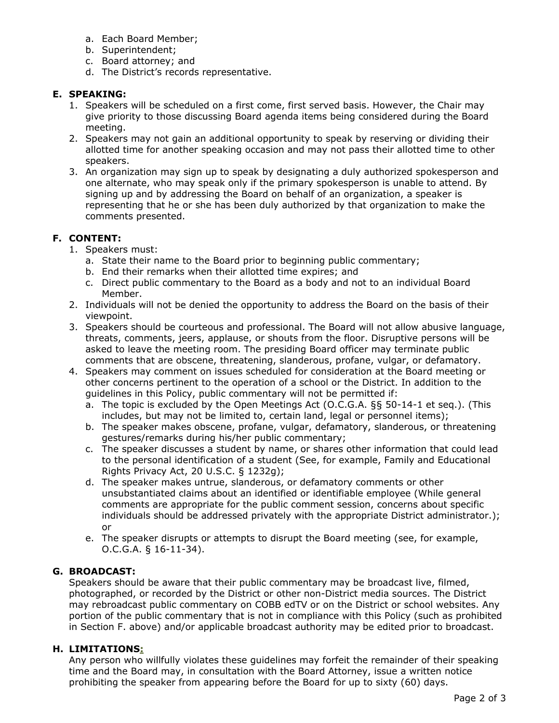- a. Each Board Member;
- b. Superintendent;
- c. Board attorney; and
- d. The District's records representative.

### **E. SPEAKING:**

- 1. Speakers will be scheduled on a first come, first served basis. However, the Chair may give priority to those discussing Board agenda items being considered during the Board meeting.
- 2. Speakers may not gain an additional opportunity to speak by reserving or dividing their allotted time for another speaking occasion and may not pass their allotted time to other speakers.
- 3. An organization may sign up to speak by designating a duly authorized spokesperson and one alternate, who may speak only if the primary spokesperson is unable to attend. By signing up and by addressing the Board on behalf of an organization, a speaker is representing that he or she has been duly authorized by that organization to make the comments presented.

# **F. CONTENT:**

- 1. Speakers must:
	- a. State their name to the Board prior to beginning public commentary;
	- b. End their remarks when their allotted time expires; and
	- c. Direct public commentary to the Board as a body and not to an individual Board Member.
- 2. Individuals will not be denied the opportunity to address the Board on the basis of their viewpoint.
- 3. Speakers should be courteous and professional. The Board will not allow abusive language, threats, comments, jeers, applause, or shouts from the floor. Disruptive persons will be asked to leave the meeting room. The presiding Board officer may terminate public comments that are obscene, threatening, slanderous, profane, vulgar, or defamatory.
- 4. Speakers may comment on issues scheduled for consideration at the Board meeting or other concerns pertinent to the operation of a school or the District. In addition to the guidelines in this Policy, public commentary will not be permitted if:
	- a. The topic is excluded by the Open Meetings Act (O.C.G.A. §§ 50-14-1 et seq.). (This includes, but may not be limited to, certain land, legal or personnel items);
	- b. The speaker makes obscene, profane, vulgar, defamatory, slanderous, or threatening gestures/remarks during his/her public commentary;
	- c. The speaker discusses a student by name, or shares other information that could lead to the personal identification of a student (See, for example, Family and Educational Rights Privacy Act, 20 U.S.C. § 1232g);
	- d. The speaker makes untrue, slanderous, or defamatory comments or other unsubstantiated claims about an identified or identifiable employee (While general comments are appropriate for the public comment session, concerns about specific individuals should be addressed privately with the appropriate District administrator.); or
	- e. The speaker disrupts or attempts to disrupt the Board meeting (see, for example, O.C.G.A. § 16-11-34).

# **G. BROADCAST:**

Speakers should be aware that their public commentary may be broadcast live, filmed, photographed, or recorded by the District or other non-District media sources. The District may rebroadcast public commentary on COBB edTV or on the District or school websites. Any portion of the public commentary that is not in compliance with this Policy (such as prohibited in Section F. above) and/or applicable broadcast authority may be edited prior to broadcast.

# **H. LIMITATIONS:**

Any person who willfully violates these guidelines may forfeit the remainder of their speaking time and the Board may, in consultation with the Board Attorney, issue a written notice prohibiting the speaker from appearing before the Board for up to sixty (60) days.